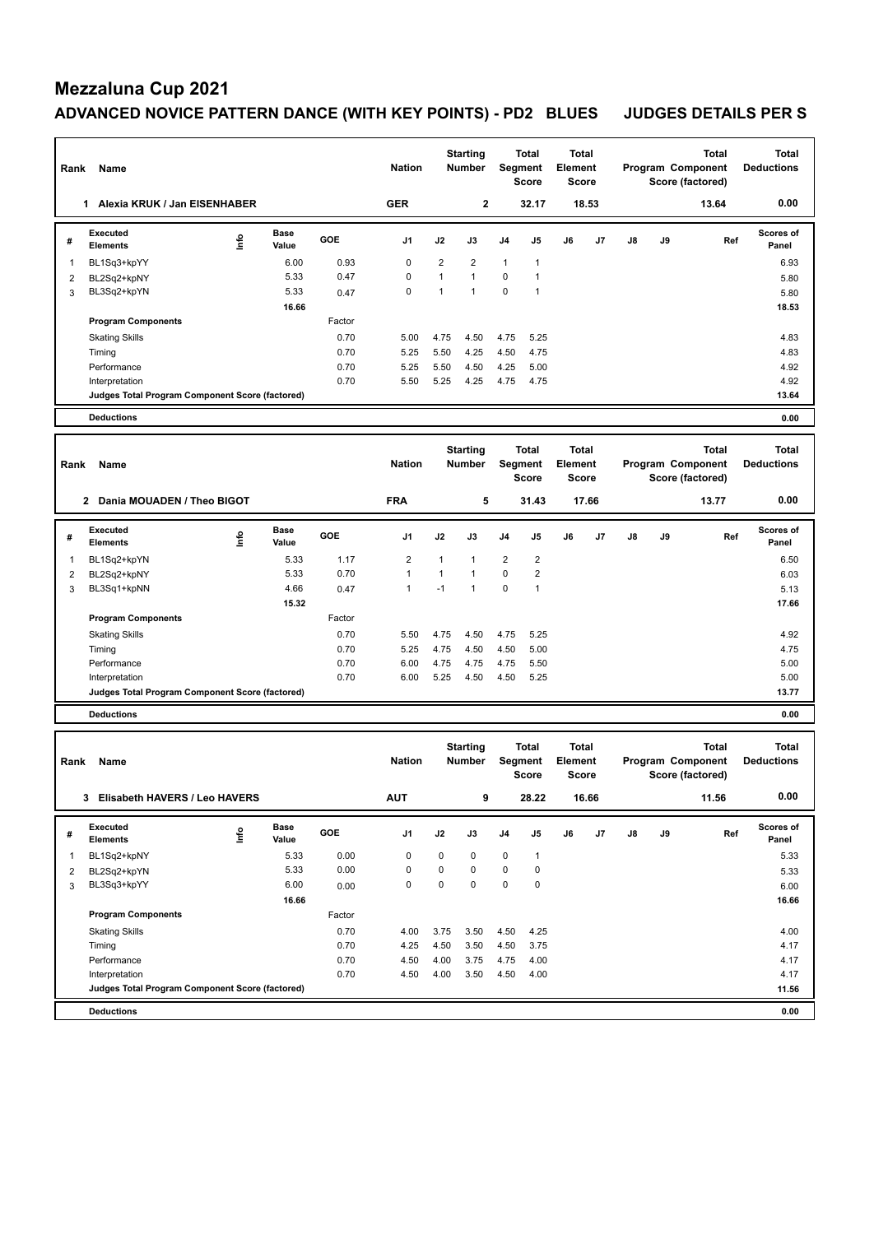### **Mezzaluna Cup 2021** ADVANCED NOVICE PATTERN DANCE (WITH KEY POINTS) - PD2 BLUES JUDGES DETAILS PER S

| Rank           | Name                                                              |      |               |              | <b>Nation</b>  |                                  | <b>Starting</b><br>Number        | Segment                          | <b>Total</b><br><b>Score</b>     | <b>Total</b><br>Element          | <b>Score</b>                            |                   | Program Component<br>Score (factored) | <b>Total</b><br><b>Deductions</b>                     |                                   |
|----------------|-------------------------------------------------------------------|------|---------------|--------------|----------------|----------------------------------|----------------------------------|----------------------------------|----------------------------------|----------------------------------|-----------------------------------------|-------------------|---------------------------------------|-------------------------------------------------------|-----------------------------------|
|                | 1 Alexia KRUK / Jan EISENHABER                                    |      |               |              | <b>GER</b>     |                                  | $\mathbf 2$                      |                                  | 32.17                            |                                  | 18.53                                   |                   |                                       | 13.64                                                 | 0.00                              |
| #              | <b>Executed</b><br><b>Elements</b>                                | ١nf٥ | Base<br>Value | GOE          | J1             | J2                               | J3                               | J4                               | J5                               | J6                               | J7                                      | J8                | J9                                    | Ref                                                   | Scores of<br>Panel                |
| 1              | BL1Sq3+kpYY                                                       |      | 6.00          | 0.93         | 0              | 2                                | 2                                | $\mathbf{1}$                     | 1                                |                                  |                                         |                   |                                       |                                                       | 6.93                              |
| 2              | BL2Sq2+kpNY                                                       |      | 5.33          | 0.47         | 0              | $\mathbf{1}$                     | $\mathbf{1}$                     | $\pmb{0}$                        | $\mathbf{1}$                     |                                  |                                         |                   |                                       |                                                       | 5.80                              |
| 3              | BL3Sq2+kpYN                                                       |      | 5.33          | 0.47         | 0              | $\mathbf{1}$                     | $\mathbf{1}$                     | 0                                | 1                                |                                  |                                         |                   |                                       |                                                       | 5.80                              |
|                |                                                                   |      | 16.66         |              |                |                                  |                                  |                                  |                                  |                                  |                                         |                   |                                       |                                                       | 18.53                             |
|                | <b>Program Components</b>                                         |      |               | Factor       |                |                                  |                                  |                                  |                                  |                                  |                                         |                   |                                       |                                                       |                                   |
|                | Skating Skills                                                    |      |               | 0.70<br>0.70 | 5.00<br>5.25   | 4.75                             | 4.50<br>4.25                     | 4.75                             | 5.25<br>4.75                     |                                  |                                         |                   |                                       |                                                       | 4.83<br>4.83                      |
|                | Timing<br>Performance                                             |      |               | 0.70         | 5.25           | 5.50<br>5.50                     | 4.50                             | 4.50<br>4.25                     | 5.00                             |                                  |                                         |                   |                                       |                                                       | 4.92                              |
|                | Interpretation                                                    |      |               | 0.70         | 5.50           | 5.25                             | 4.25                             | 4.75                             | 4.75                             |                                  |                                         |                   |                                       |                                                       | 4.92                              |
|                | Judges Total Program Component Score (factored)                   |      |               |              |                |                                  |                                  |                                  |                                  |                                  |                                         |                   |                                       |                                                       | 13.64                             |
|                | <b>Deductions</b>                                                 |      |               |              |                |                                  |                                  |                                  |                                  |                                  |                                         |                   |                                       |                                                       | 0.00                              |
|                |                                                                   |      |               |              |                |                                  |                                  |                                  |                                  |                                  |                                         |                   |                                       |                                                       |                                   |
| Rank           | Name                                                              |      |               |              | <b>Nation</b>  | <b>Starting</b><br><b>Number</b> |                                  |                                  | <b>Total</b><br>Segment<br>Score |                                  | <b>Total</b><br>Element<br><b>Score</b> |                   |                                       | <b>Total</b><br>Program Component<br>Score (factored) | <b>Total</b><br><b>Deductions</b> |
|                | 2 Dania MOUADEN / Theo BIGOT                                      |      |               |              | <b>FRA</b>     |                                  | 5                                |                                  | 31.43                            |                                  | 17.66                                   |                   |                                       | 13.77                                                 | 0.00                              |
| #              | <b>Executed</b><br><b>Elements</b>                                | lnfo | Base<br>Value | GOE          | J1             | J2                               | J3                               | J4                               | J5                               | J6                               | J7                                      | J8                | J9                                    | Ref                                                   | Scores of<br>Panel                |
| 1              | BL1Sq2+kpYN                                                       |      | 5.33          | 1.17         | $\overline{2}$ | $\mathbf{1}$                     | $\mathbf{1}$                     | $\overline{2}$                   | $\overline{2}$                   |                                  |                                         |                   |                                       |                                                       | 6.50                              |
| 2              | BL2Sq2+kpNY                                                       |      | 5.33          | 0.70         | 1              | $\mathbf{1}$                     | 1                                | 0                                | 2                                |                                  |                                         |                   |                                       |                                                       | 6.03                              |
| 3              | BL3Sq1+kpNN                                                       |      | 4.66          | 0.47         | 1              | $-1$                             | $\mathbf{1}$                     | $\mathbf 0$                      | $\mathbf{1}$                     |                                  |                                         |                   |                                       |                                                       | 5.13                              |
|                |                                                                   |      | 15.32         |              |                |                                  |                                  |                                  |                                  |                                  |                                         |                   |                                       |                                                       | 17.66                             |
|                | <b>Program Components</b>                                         |      |               | Factor       |                |                                  |                                  |                                  |                                  |                                  |                                         |                   |                                       |                                                       |                                   |
|                | <b>Skating Skills</b>                                             |      |               | 0.70         | 5.50           | 4.75                             | 4.50                             | 4.75                             | 5.25                             |                                  |                                         |                   |                                       |                                                       | 4.92                              |
|                | Timing                                                            |      |               | 0.70         | 5.25           | 4.75                             | 4.50                             | 4.50                             | 5.00                             |                                  |                                         |                   |                                       |                                                       | 4.75                              |
|                | Performance<br>Interpretation                                     |      |               | 0.70<br>0.70 | 6.00<br>6.00   | 4.75<br>5.25                     | 4.75<br>4.50                     | 4.75<br>4.50                     | 5.50<br>5.25                     |                                  |                                         |                   |                                       |                                                       | 5.00<br>5.00                      |
|                | Judges Total Program Component Score (factored)                   |      |               |              |                |                                  |                                  |                                  |                                  |                                  |                                         |                   |                                       |                                                       | 13.77                             |
|                | <b>Deductions</b>                                                 |      |               |              |                |                                  |                                  |                                  |                                  |                                  |                                         |                   |                                       |                                                       | 0.00                              |
|                |                                                                   |      |               |              |                |                                  |                                  |                                  |                                  |                                  |                                         |                   |                                       |                                                       |                                   |
| Rank           | Name                                                              |      |               |              | <b>Nation</b>  |                                  | <b>Starting</b><br><b>Number</b> | Total<br>Segment<br><b>Score</b> |                                  | Total<br><b>Element</b><br>Score |                                         | Program Component |                                       | <b>Total</b><br>Score (factored)                      | <b>Total</b><br><b>Deductions</b> |
|                | 3 Elisabeth HAVERS / Leo HAVERS                                   |      |               |              | <b>AUT</b>     |                                  | 9                                |                                  | 28.22                            |                                  | 16.66                                   |                   |                                       | 11.56                                                 | 0.00                              |
| #              | Executed<br><b>Elements</b>                                       | lnfo | Base<br>Value | GOE          | J1             | J2                               | J3                               | J4                               | J5                               | J6                               | J7                                      | J8                | J9                                    | Ref                                                   | Scores of<br>Panel                |
| 1              | BL1Sq2+kpNY                                                       |      | 5.33          | 0.00         | 0              | 0                                | 0                                | $\pmb{0}$                        | 1                                |                                  |                                         |                   |                                       |                                                       | 5.33                              |
| $\overline{c}$ | BL2Sq2+kpYN                                                       |      | 5.33          | 0.00         | 0              | 0                                | $\mathbf 0$                      | $\pmb{0}$                        | 0                                |                                  |                                         |                   |                                       |                                                       | 5.33                              |
| 3              | BL3Sq3+kpYY                                                       |      | 6.00          | 0.00         | 0              | 0                                | $\mathbf 0$                      | $\pmb{0}$                        | 0                                |                                  |                                         |                   |                                       |                                                       | 6.00                              |
|                |                                                                   |      | 16.66         |              |                |                                  |                                  |                                  |                                  |                                  |                                         |                   |                                       |                                                       | 16.66                             |
|                | <b>Program Components</b>                                         |      |               | Factor       |                |                                  |                                  |                                  |                                  |                                  |                                         |                   |                                       |                                                       |                                   |
|                | <b>Skating Skills</b>                                             |      |               | 0.70         | 4.00           | 3.75                             | 3.50                             | 4.50                             | 4.25                             |                                  |                                         |                   |                                       |                                                       | 4.00                              |
|                | Timing                                                            |      |               | 0.70         | 4.25           | 4.50                             | 3.50                             | 4.50                             | 3.75                             |                                  |                                         |                   |                                       |                                                       | 4.17                              |
|                | Performance                                                       |      |               | 0.70         | 4.50           | 4.00                             | 3.75                             | 4.75                             | 4.00                             |                                  |                                         |                   |                                       |                                                       | 4.17                              |
|                | Interpretation<br>Judges Total Program Component Score (factored) |      |               | 0.70         | 4.50           | 4.00                             | 3.50                             | 4.50                             | 4.00                             |                                  |                                         |                   |                                       |                                                       | 4.17<br>11.56                     |
|                |                                                                   |      |               |              |                |                                  |                                  |                                  |                                  |                                  |                                         |                   |                                       |                                                       |                                   |
|                | <b>Deductions</b>                                                 |      |               |              |                |                                  |                                  |                                  |                                  |                                  |                                         |                   |                                       |                                                       | 0.00                              |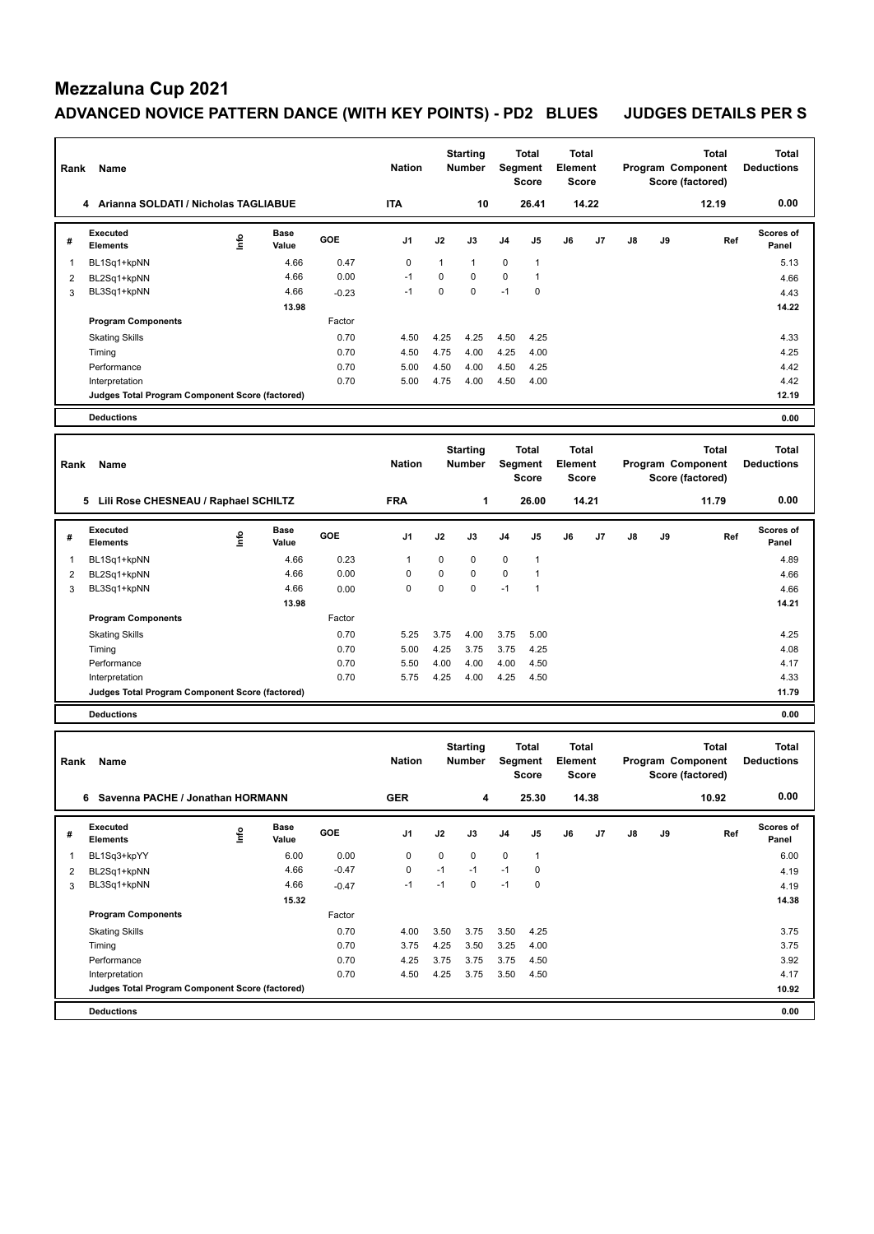# **Mezzaluna Cup 2021**

## ADVANCED NOVICE PATTERN DANCE (WITH KEY POINTS) - PD2 BLUES JUDGES DETAILS PER S

|                |                                                 |      |               |         |               |             | <b>Starting</b>                  |             | Total                                   | <b>Total</b>                            |       |    |    | <b>Total</b>                                          | <b>Total</b>                      |
|----------------|-------------------------------------------------|------|---------------|---------|---------------|-------------|----------------------------------|-------------|-----------------------------------------|-----------------------------------------|-------|----|----|-------------------------------------------------------|-----------------------------------|
| Rank           | Name                                            |      |               |         | <b>Nation</b> |             | <b>Number</b>                    |             | Segment<br><b>Score</b>                 | Element<br><b>Score</b>                 |       |    |    | Program Component<br>Score (factored)                 | <b>Deductions</b>                 |
|                | 4 Arianna SOLDATI / Nicholas TAGLIABUE          |      |               |         | <b>ITA</b>    |             | 10                               |             | 26.41                                   |                                         | 14.22 |    |    | 12.19                                                 | 0.00                              |
| #              | <b>Executed</b><br><b>Elements</b>              | lnfo | Base<br>Value | GOE     | J1            | J2          | J3                               | J4          | J5                                      | J6                                      | J7    | J8 | J9 | Ref                                                   | <b>Scores of</b><br>Panel         |
| 1              | BL1Sq1+kpNN                                     |      | 4.66          | 0.47    | $\mathbf 0$   | 1           | $\mathbf{1}$                     | $\mathbf 0$ | 1                                       |                                         |       |    |    |                                                       | 5.13                              |
| 2              | BL2Sq1+kpNN                                     |      | 4.66          | 0.00    | $-1$          | 0           | 0                                | $\pmb{0}$   | 1                                       |                                         |       |    |    |                                                       | 4.66                              |
| 3              | BL3Sq1+kpNN                                     |      | 4.66          | $-0.23$ | $-1$          | 0           | 0                                | $-1$        | 0                                       |                                         |       |    |    |                                                       | 4.43                              |
|                |                                                 |      | 13.98         |         |               |             |                                  |             |                                         |                                         |       |    |    |                                                       | 14.22                             |
|                | <b>Program Components</b>                       |      |               | Factor  |               |             |                                  |             |                                         |                                         |       |    |    |                                                       |                                   |
|                | <b>Skating Skills</b>                           |      |               | 0.70    | 4.50          | 4.25        | 4.25                             | 4.50        | 4.25                                    |                                         |       |    |    |                                                       | 4.33                              |
|                | Timing                                          |      |               | 0.70    | 4.50          | 4.75        | 4.00                             | 4.25        | 4.00                                    |                                         |       |    |    |                                                       | 4.25                              |
|                | Performance                                     |      |               | 0.70    | 5.00          | 4.50        | 4.00                             | 4.50        | 4.25                                    |                                         |       |    |    |                                                       | 4.42                              |
|                | Interpretation                                  |      |               | 0.70    | 5.00          | 4.75        | 4.00                             | 4.50        | 4.00                                    |                                         |       |    |    |                                                       | 4.42                              |
|                | Judges Total Program Component Score (factored) |      |               |         |               |             |                                  |             |                                         |                                         |       |    |    |                                                       | 12.19                             |
|                | <b>Deductions</b>                               |      |               |         |               |             |                                  |             |                                         |                                         |       |    |    |                                                       | 0.00                              |
|                |                                                 |      |               |         |               |             | <b>Starting</b>                  |             | <b>Total</b>                            | <b>Total</b>                            |       |    |    | <b>Total</b>                                          | <b>Total</b>                      |
| Rank           | Name                                            |      |               |         | <b>Nation</b> |             | <b>Number</b>                    |             | Segment                                 | <b>Element</b>                          |       |    |    | Program Component                                     | <b>Deductions</b>                 |
|                |                                                 |      |               |         |               |             |                                  |             | <b>Score</b>                            | <b>Score</b>                            |       |    |    | Score (factored)                                      |                                   |
|                | 5 Lili Rose CHESNEAU / Raphael SCHILTZ          |      |               |         | <b>FRA</b>    |             | 1                                |             | 26.00                                   |                                         | 14.21 |    |    | 11.79                                                 | 0.00                              |
| #              | <b>Executed</b><br><b>Elements</b>              | ١nf٥ | Base<br>Value | GOE     | J1            | J2          | J3                               | J4          | J5                                      | J6                                      | J7    | J8 | J9 | Ref                                                   | Scores of<br>Panel                |
| 1              | BL1Sq1+kpNN                                     |      | 4.66          | 0.23    | 1             | 0           | 0                                | 0           | 1                                       |                                         |       |    |    |                                                       | 4.89                              |
| $\overline{2}$ | BL2Sq1+kpNN                                     |      | 4.66          | 0.00    | 0             | 0           | 0                                | $\pmb{0}$   | $\mathbf{1}$                            |                                         |       |    |    |                                                       | 4.66                              |
| 3              | BL3Sq1+kpNN                                     |      | 4.66          | 0.00    | 0             | $\mathbf 0$ | $\mathbf 0$                      | $-1$        | $\mathbf{1}$                            |                                         |       |    |    |                                                       | 4.66                              |
|                |                                                 |      | 13.98         |         |               |             |                                  |             |                                         |                                         |       |    |    |                                                       | 14.21                             |
|                | <b>Program Components</b>                       |      |               | Factor  |               |             |                                  |             |                                         |                                         |       |    |    |                                                       |                                   |
|                | <b>Skating Skills</b>                           |      |               | 0.70    | 5.25          | 3.75        | 4.00                             | 3.75        | 5.00                                    |                                         |       |    |    |                                                       | 4.25                              |
|                | Timing                                          |      |               | 0.70    | 5.00          | 4.25        | 3.75                             | 3.75        | 4.25                                    |                                         |       |    |    |                                                       | 4.08                              |
|                | Performance                                     |      |               | 0.70    | 5.50          | 4.00        | 4.00                             | 4.00        | 4.50                                    |                                         |       |    |    |                                                       | 4.17                              |
|                | Interpretation                                  |      |               | 0.70    | 5.75          | 4.25        | 4.00                             | 4.25        | 4.50                                    |                                         |       |    |    |                                                       | 4.33                              |
|                | Judges Total Program Component Score (factored) |      |               |         |               |             |                                  |             |                                         |                                         |       |    |    |                                                       | 11.79                             |
|                | <b>Deductions</b>                               |      |               |         |               |             |                                  |             |                                         |                                         |       |    |    |                                                       | 0.00                              |
| Rank           | Name                                            |      |               |         | <b>Nation</b> |             | <b>Starting</b><br><b>Number</b> |             | <b>Total</b><br>Segment<br><b>Score</b> | <b>Total</b><br>Element<br><b>Score</b> |       |    |    | <b>Total</b><br>Program Component<br>Score (factored) | <b>Total</b><br><b>Deductions</b> |
|                | 6 Savenna PACHE / Jonathan HORMANN              |      |               |         | <b>GER</b>    |             | 4                                |             | 25.30                                   |                                         | 14.38 |    |    | 10.92                                                 | 0.00                              |
| #              | Executed<br><b>Elements</b>                     | Info | Base<br>Value | GOE     | J1            | J2          | J3                               | J4          | J5                                      | J6                                      | J7    | J8 | J9 | Ref                                                   | Scores of<br>Panel                |
| 1              | BL1Sq3+kpYY                                     |      | 6.00          | 0.00    | 0             | 0           | 0                                | $\pmb{0}$   | $\mathbf{1}$                            |                                         |       |    |    |                                                       | 6.00                              |
| 2              | BL2Sq1+kpNN                                     |      | 4.66          | $-0.47$ | $\pmb{0}$     | $-1$        | $-1$                             | $-1$        | 0                                       |                                         |       |    |    |                                                       | 4.19                              |
| 3              | BL3Sq1+kpNN                                     |      | 4.66          | $-0.47$ | $-1$          | $-1$        | $\mathbf 0$                      | $-1$        | $\pmb{0}$                               |                                         |       |    |    |                                                       | 4.19                              |
|                |                                                 |      | 15.32         |         |               |             |                                  |             |                                         |                                         |       |    |    |                                                       | 14.38                             |
|                | <b>Program Components</b>                       |      |               | Factor  |               |             |                                  |             |                                         |                                         |       |    |    |                                                       |                                   |
|                | <b>Skating Skills</b>                           |      |               | 0.70    | 4.00          | 3.50        | 3.75                             | 3.50        | 4.25                                    |                                         |       |    |    |                                                       | 3.75                              |
|                | Timing                                          |      |               | 0.70    | 3.75          | 4.25        | 3.50                             | 3.25        | 4.00                                    |                                         |       |    |    |                                                       | 3.75                              |
|                | Performance                                     |      |               | 0.70    | 4.25          | 3.75        | 3.75                             | 3.75        | 4.50                                    |                                         |       |    |    |                                                       | 3.92                              |
|                | Interpretation                                  |      |               | 0.70    | 4.50          | 4.25        | 3.75                             | 3.50        | 4.50                                    |                                         |       |    |    |                                                       | 4.17                              |
|                | Judges Total Program Component Score (factored) |      |               |         |               |             |                                  |             |                                         |                                         |       |    |    |                                                       | 10.92                             |
|                | <b>Deductions</b>                               |      |               |         |               |             |                                  |             |                                         |                                         |       |    |    |                                                       | 0.00                              |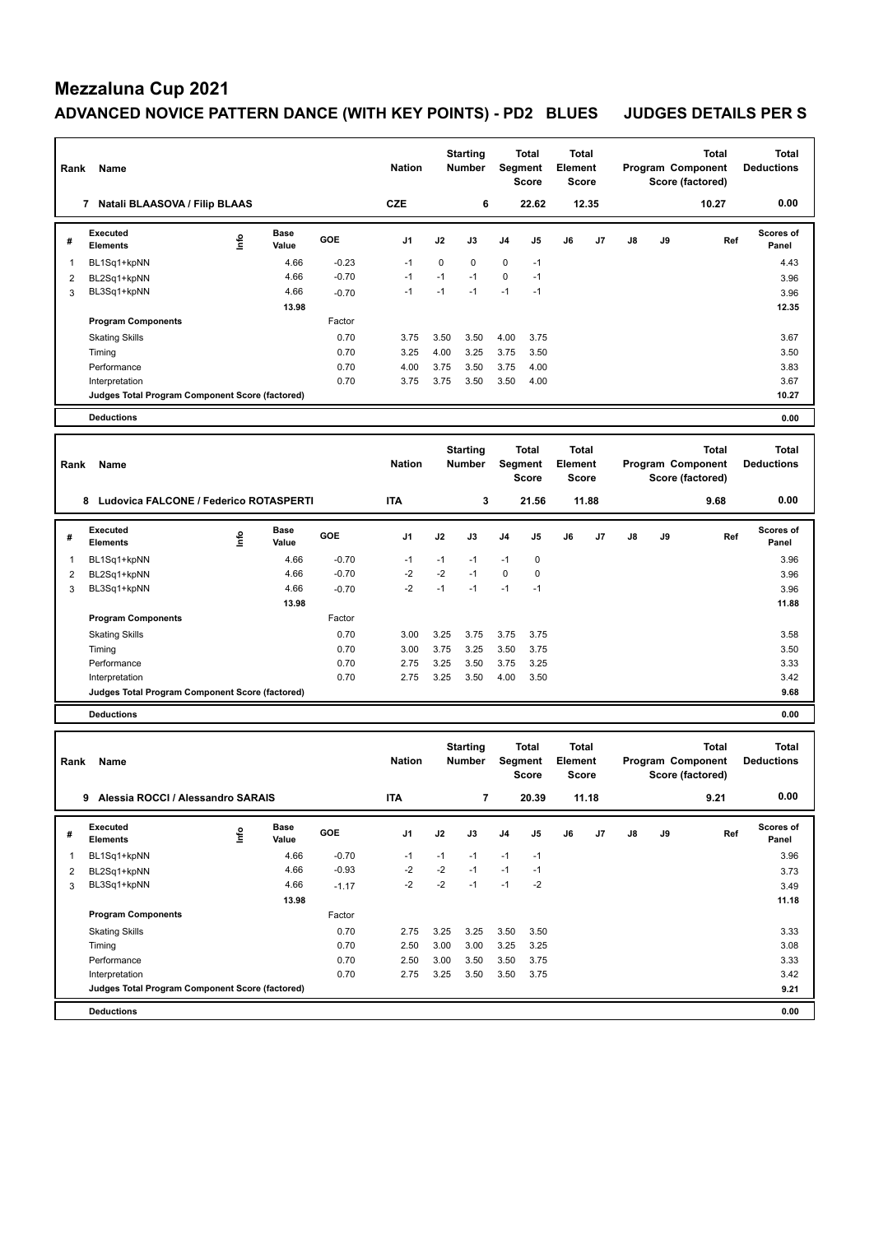# **Mezzaluna Cup 2021**

## ADVANCED NOVICE PATTERN DANCE (WITH KEY POINTS) - PD2 BLUES JUDGES DETAILS PER S

| Rank           | Name                                            |      |               |         | <b>Nation</b> |             | <b>Starting</b><br><b>Number</b> |           | Total<br>Segment<br>Score               | <b>Total</b><br>Element<br><b>Score</b> |       |    |    | <b>Total</b><br>Program Component<br>Score (factored) | <b>Total</b><br><b>Deductions</b> |
|----------------|-------------------------------------------------|------|---------------|---------|---------------|-------------|----------------------------------|-----------|-----------------------------------------|-----------------------------------------|-------|----|----|-------------------------------------------------------|-----------------------------------|
|                | 7 Natali BLAASOVA / Filip BLAAS                 |      |               |         | <b>CZE</b>    |             | 6                                |           | 22.62                                   |                                         | 12.35 |    |    | 10.27                                                 | 0.00                              |
| #              | <b>Executed</b><br><b>Elements</b>              | ١nfo | Base<br>Value | GOE     | J1            | J2          | J3                               | J4        | J5                                      | J6                                      | J7    | J8 | J9 | Ref                                                   | Scores of<br>Panel                |
| 1              | BL1Sq1+kpNN                                     |      | 4.66          | $-0.23$ | $-1$          | $\mathbf 0$ | 0                                | $\pmb{0}$ | $-1$                                    |                                         |       |    |    |                                                       | 4.43                              |
| 2              | BL2Sq1+kpNN                                     |      | 4.66          | $-0.70$ | $-1$          | $-1$        | $-1$                             | $\pmb{0}$ | $-1$                                    |                                         |       |    |    |                                                       | 3.96                              |
| 3              | BL3Sq1+kpNN                                     |      | 4.66          | $-0.70$ | $-1$          | $-1$        | $-1$                             | $-1$      | $-1$                                    |                                         |       |    |    |                                                       | 3.96                              |
|                |                                                 |      | 13.98         |         |               |             |                                  |           |                                         |                                         |       |    |    |                                                       | 12.35                             |
|                | <b>Program Components</b>                       |      |               | Factor  |               |             |                                  |           |                                         |                                         |       |    |    |                                                       |                                   |
|                | <b>Skating Skills</b>                           |      |               | 0.70    | 3.75          | 3.50        | 3.50                             | 4.00      | 3.75                                    |                                         |       |    |    |                                                       | 3.67                              |
|                | Timing                                          |      |               | 0.70    | 3.25          | 4.00        | 3.25                             | 3.75      | 3.50                                    |                                         |       |    |    |                                                       | 3.50                              |
|                | Performance                                     |      |               | 0.70    | 4.00          | 3.75        | 3.50                             | 3.75      | 4.00                                    |                                         |       |    |    |                                                       | 3.83                              |
|                | Interpretation                                  |      |               | 0.70    | 3.75          | 3.75        | 3.50                             | 3.50      | 4.00                                    |                                         |       |    |    |                                                       | 3.67                              |
|                | Judges Total Program Component Score (factored) |      |               |         |               |             |                                  |           |                                         |                                         |       |    |    |                                                       | 10.27                             |
|                | <b>Deductions</b>                               |      |               |         |               |             |                                  |           |                                         |                                         |       |    |    |                                                       | 0.00                              |
| Rank           | Name                                            |      |               |         | <b>Nation</b> |             | <b>Starting</b><br><b>Number</b> |           | Total<br>Segment<br><b>Score</b>        | Total<br>Element<br><b>Score</b>        |       |    |    | <b>Total</b><br>Program Component<br>Score (factored) | <b>Total</b><br><b>Deductions</b> |
|                | 8 Ludovica FALCONE / Federico ROTASPERTI        |      |               |         | <b>ITA</b>    |             | 3                                |           | 21.56                                   |                                         | 11.88 |    |    | 9.68                                                  | 0.00                              |
| #              | <b>Executed</b><br>Elements                     | ۴ů   | Base<br>Value | GOE     | J1            | J2          | J3                               | J4        | J5                                      | J6                                      | J7    | J8 | J9 | Ref                                                   | Scores of<br>Panel                |
| 1              | BL1Sq1+kpNN                                     |      | 4.66          | $-0.70$ | $-1$          | $-1$        | -1                               | $-1$      | 0                                       |                                         |       |    |    |                                                       | 3.96                              |
| $\overline{c}$ | BL2Sq1+kpNN                                     |      | 4.66          | $-0.70$ | $-2$          | $-2$        | $-1$                             | $\pmb{0}$ | 0                                       |                                         |       |    |    |                                                       | 3.96                              |
| 3              | BL3Sq1+kpNN                                     |      | 4.66          | $-0.70$ | $-2$          | $-1$        | $-1$                             | $-1$      | $-1$                                    |                                         |       |    |    |                                                       | 3.96                              |
|                |                                                 |      | 13.98         |         |               |             |                                  |           |                                         |                                         |       |    |    |                                                       | 11.88                             |
|                | <b>Program Components</b>                       |      |               | Factor  |               |             |                                  |           |                                         |                                         |       |    |    |                                                       |                                   |
|                | <b>Skating Skills</b>                           |      |               | 0.70    | 3.00          | 3.25        | 3.75                             | 3.75      | 3.75                                    |                                         |       |    |    |                                                       | 3.58                              |
|                | Timing                                          |      |               | 0.70    | 3.00          | 3.75        | 3.25                             | 3.50      | 3.75                                    |                                         |       |    |    |                                                       | 3.50                              |
|                | Performance                                     |      |               | 0.70    | 2.75          | 3.25        | 3.50                             | 3.75      | 3.25                                    |                                         |       |    |    |                                                       | 3.33                              |
|                | Interpretation                                  |      |               | 0.70    | 2.75          | 3.25        | 3.50                             | 4.00      | 3.50                                    |                                         |       |    |    |                                                       | 3.42                              |
|                | Judges Total Program Component Score (factored) |      |               |         |               |             |                                  |           |                                         |                                         |       |    |    |                                                       | 9.68                              |
|                | <b>Deductions</b>                               |      |               |         |               |             |                                  |           |                                         |                                         |       |    |    |                                                       | 0.00                              |
| Rank           | Name                                            |      |               |         | <b>Nation</b> |             | <b>Starting</b><br>Number        |           | <b>Total</b><br>Segment<br><b>Score</b> | <b>Total</b><br>Element<br><b>Score</b> |       |    |    | <b>Total</b><br>Program Component<br>Score (factored) | <b>Total</b><br><b>Deductions</b> |
|                | 9 Alessia ROCCI / Alessandro SARAIS             |      |               |         | <b>ITA</b>    |             | $\overline{\mathbf{r}}$          |           | 20.39                                   |                                         | 11.18 |    |    | 9.21                                                  | 0.00                              |
| #              | Executed<br><b>Elements</b>                     | Info | Base<br>Value | GOE     | J1            | J2          | J3                               | J4        | J5                                      | J6                                      | J7    | J8 | J9 | Ref                                                   | Scores of<br>Panel                |
| 1              | BL1Sq1+kpNN                                     |      | 4.66          | $-0.70$ | $-1$          | $-1$        | $-1$                             | $-1$      | $-1$                                    |                                         |       |    |    |                                                       | 3.96                              |
| 2              | BL2Sq1+kpNN                                     |      | 4.66          | $-0.93$ | $-2$          | $-2$        | $-1$                             | $-1$      | $-1$                                    |                                         |       |    |    |                                                       | 3.73                              |
| 3              | BL3Sq1+kpNN                                     |      | 4.66          | $-1.17$ | $-2$          | $-2$        | $-1$                             | $-1$      | $-2$                                    |                                         |       |    |    |                                                       | 3.49                              |
|                |                                                 |      | 13.98         |         |               |             |                                  |           |                                         |                                         |       |    |    |                                                       | 11.18                             |
|                | <b>Program Components</b>                       |      |               | Factor  |               |             |                                  |           |                                         |                                         |       |    |    |                                                       |                                   |
|                | <b>Skating Skills</b>                           |      |               | 0.70    | 2.75          | 3.25        | 3.25                             | 3.50      | 3.50                                    |                                         |       |    |    |                                                       | 3.33                              |
|                | Timing                                          |      |               | 0.70    | 2.50          | 3.00        | 3.00                             | 3.25      | 3.25                                    |                                         |       |    |    |                                                       | 3.08                              |
|                | Performance                                     |      |               | 0.70    | 2.50          | 3.00        | 3.50                             | 3.50      | 3.75                                    |                                         |       |    |    |                                                       | 3.33                              |
|                | Interpretation                                  |      |               | 0.70    | 2.75          | 3.25        | 3.50                             | 3.50      | 3.75                                    |                                         |       |    |    |                                                       | 3.42                              |
|                | Judges Total Program Component Score (factored) |      |               |         |               |             |                                  |           |                                         |                                         |       |    |    |                                                       | 9.21                              |
|                | <b>Deductions</b>                               |      |               |         |               |             |                                  |           |                                         |                                         |       |    |    |                                                       | 0.00                              |